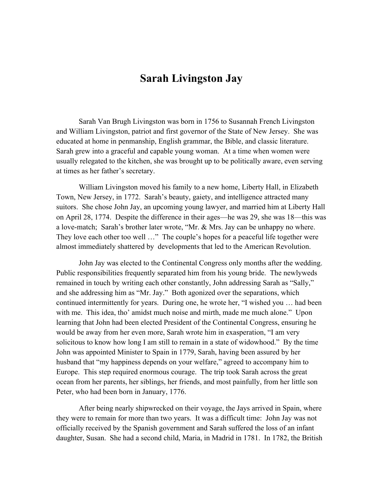## Sarah Livingston Jay

Sarah Van Brugh Livingston was born in 1756 to Susannah French Livingston and William Livingston, patriot and first governor of the State of New Jersey. She was educated at home in penmanship, English grammar, the Bible, and classic literature. Sarah grew into a graceful and capable young woman. At a time when women were usually relegated to the kitchen, she was brought up to be politically aware, even serving at times as her father's secretary.

William Livingston moved his family to a new home, Liberty Hall, in Elizabeth Town, New Jersey, in 1772. Sarah's beauty, gaiety, and intelligence attracted many suitors. She chose John Jay, an upcoming young lawyer, and married him at Liberty Hall on April 28, 1774. Despite the difference in their ages—he was 29, she was 18—this was a love-match; Sarah's brother later wrote, "Mr. & Mrs. Jay can be unhappy no where. They love each other too well …" The couple's hopes for a peaceful life together were almost immediately shattered by developments that led to the American Revolution.

John Jay was elected to the Continental Congress only months after the wedding. Public responsibilities frequently separated him from his young bride. The newlyweds remained in touch by writing each other constantly, John addressing Sarah as "Sally," and she addressing him as "Mr. Jay." Both agonized over the separations, which continued intermittently for years. During one, he wrote her, "I wished you … had been with me. This idea, tho' amidst much noise and mirth, made me much alone." Upon learning that John had been elected President of the Continental Congress, ensuring he would be away from her even more, Sarah wrote him in exasperation, "I am very solicitous to know how long I am still to remain in a state of widowhood." By the time John was appointed Minister to Spain in 1779, Sarah, having been assured by her husband that "my happiness depends on your welfare," agreed to accompany him to Europe. This step required enormous courage. The trip took Sarah across the great ocean from her parents, her siblings, her friends, and most painfully, from her little son Peter, who had been born in January, 1776.

After being nearly shipwrecked on their voyage, the Jays arrived in Spain, where they were to remain for more than two years. It was a difficult time: John Jay was not officially received by the Spanish government and Sarah suffered the loss of an infant daughter, Susan. She had a second child, Maria, in Madrid in 1781. In 1782, the British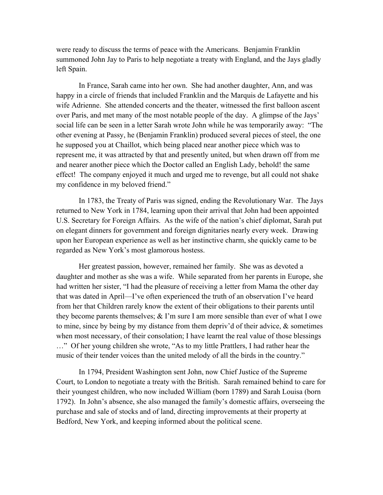were ready to discuss the terms of peace with the Americans. Benjamin Franklin summoned John Jay to Paris to help negotiate a treaty with England, and the Jays gladly left Spain.

In France, Sarah came into her own. She had another daughter, Ann, and was happy in a circle of friends that included Franklin and the Marquis de Lafayette and his wife Adrienne. She attended concerts and the theater, witnessed the first balloon ascent over Paris, and met many of the most notable people of the day. A glimpse of the Jays' social life can be seen in a letter Sarah wrote John while he was temporarily away: "The other evening at Passy, he (Benjamin Franklin) produced several pieces of steel, the one he supposed you at Chaillot, which being placed near another piece which was to represent me, it was attracted by that and presently united, but when drawn off from me and nearer another piece which the Doctor called an English Lady, behold! the same effect! The company enjoyed it much and urged me to revenge, but all could not shake my confidence in my beloved friend."

In 1783, the Treaty of Paris was signed, ending the Revolutionary War. The Jays returned to New York in 1784, learning upon their arrival that John had been appointed U.S. Secretary for Foreign Affairs. As the wife of the nation's chief diplomat, Sarah put on elegant dinners for government and foreign dignitaries nearly every week. Drawing upon her European experience as well as her instinctive charm, she quickly came to be regarded as New York's most glamorous hostess.

Her greatest passion, however, remained her family. She was as devoted a daughter and mother as she was a wife. While separated from her parents in Europe, she had written her sister, "I had the pleasure of receiving a letter from Mama the other day that was dated in April—I've often experienced the truth of an observation I've heard from her that Children rarely know the extent of their obligations to their parents until they become parents themselves;  $&$  I'm sure I am more sensible than ever of what I owe to mine, since by being by my distance from them depriv'd of their advice, & sometimes when most necessary, of their consolation; I have learnt the real value of those blessings …" Of her young children she wrote, "As to my little Prattlers, I had rather hear the music of their tender voices than the united melody of all the birds in the country."

In 1794, President Washington sent John, now Chief Justice of the Supreme Court, to London to negotiate a treaty with the British. Sarah remained behind to care for their youngest children, who now included William (born 1789) and Sarah Louisa (born 1792). In John's absence, she also managed the family's domestic affairs, overseeing the purchase and sale of stocks and of land, directing improvements at their property at Bedford, New York, and keeping informed about the political scene.